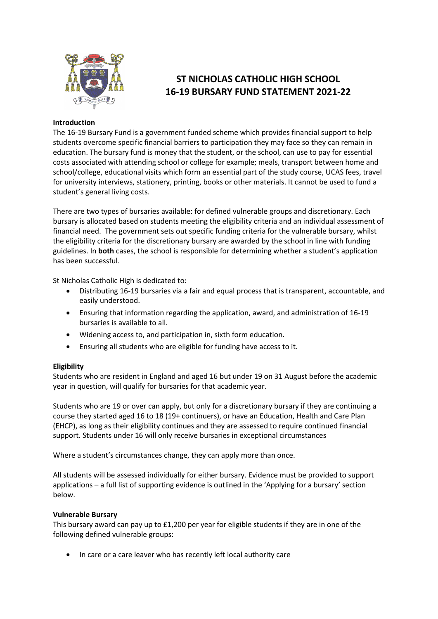

# **ST NICHOLAS CATHOLIC HIGH SCHOOL 16-19 BURSARY FUND STATEMENT 2021-22**

# **Introduction**

The 16-19 Bursary Fund is a government funded scheme which provides financial support to help students overcome specific financial barriers to participation they may face so they can remain in education. The bursary fund is money that the student, or the school, can use to pay for essential costs associated with attending school or college for example; meals, transport between home and school/college, educational visits which form an essential part of the study course, UCAS fees, travel for university interviews, stationery, printing, books or other materials. It cannot be used to fund a student's general living costs.

There are two types of bursaries available: for defined vulnerable groups and discretionary. Each bursary is allocated based on students meeting the eligibility criteria and an individual assessment of financial need. The government sets out specific funding criteria for the vulnerable bursary, whilst the eligibility criteria for the discretionary bursary are awarded by the school in line with funding guidelines. In **both** cases, the school is responsible for determining whether a student's application has been successful.

St Nicholas Catholic High is dedicated to:

- Distributing 16-19 bursaries via a fair and equal process that is transparent, accountable, and easily understood.
- Ensuring that information regarding the application, award, and administration of 16-19 bursaries is available to all.
- Widening access to, and participation in, sixth form education.
- Ensuring all students who are eligible for funding have access to it.

# **Eligibility**

Students who are resident in England and aged 16 but under 19 on 31 August before the academic year in question, will qualify for bursaries for that academic year.

Students who are 19 or over can apply, but only for a discretionary bursary if they are continuing a course they started aged 16 to 18 (19+ continuers), or have an Education, Health and Care Plan (EHCP), as long as their eligibility continues and they are assessed to require continued financial support. Students under 16 will only receive bursaries in exceptional circumstances

Where a student's circumstances change, they can apply more than once.

All students will be assessed individually for either bursary. Evidence must be provided to support applications – a full list of supporting evidence is outlined in the 'Applying for a bursary' section below.

# **Vulnerable Bursary**

This bursary award can pay up to £1,200 per year for eligible students if they are in one of the following defined vulnerable groups:

• In care or a care leaver who has recently left local authority care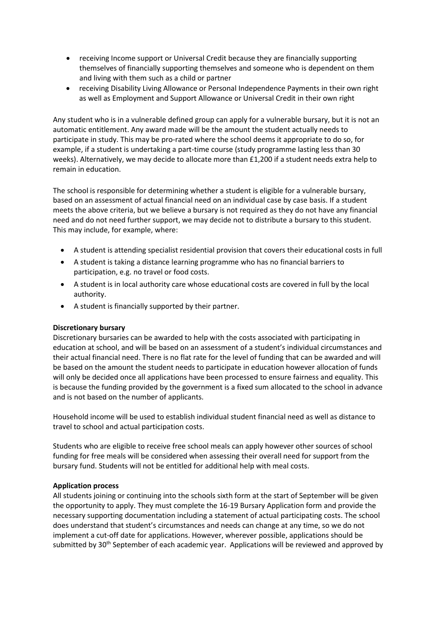- receiving Income support or Universal Credit because they are financially supporting themselves of financially supporting themselves and someone who is dependent on them and living with them such as a child or partner
- receiving Disability Living Allowance or Personal Independence Payments in their own right as well as Employment and Support Allowance or Universal Credit in their own right

Any student who is in a vulnerable defined group can apply for a vulnerable bursary, but it is not an automatic entitlement. Any award made will be the amount the student actually needs to participate in study. This may be pro-rated where the school deems it appropriate to do so, for example, if a student is undertaking a part-time course (study programme lasting less than 30 weeks). Alternatively, we may decide to allocate more than £1,200 if a student needs extra help to remain in education.

The school is responsible for determining whether a student is eligible for a vulnerable bursary, based on an assessment of actual financial need on an individual case by case basis. If a student meets the above criteria, but we believe a bursary is not required as they do not have any financial need and do not need further support, we may decide not to distribute a bursary to this student. This may include, for example, where:

- A student is attending specialist residential provision that covers their educational costs in full
- A student is taking a distance learning programme who has no financial barriers to participation, e.g. no travel or food costs.
- A student is in local authority care whose educational costs are covered in full by the local authority.
- A student is financially supported by their partner.

# **Discretionary bursary**

Discretionary bursaries can be awarded to help with the costs associated with participating in education at school, and will be based on an assessment of a student's individual circumstances and their actual financial need. There is no flat rate for the level of funding that can be awarded and will be based on the amount the student needs to participate in education however allocation of funds will only be decided once all applications have been processed to ensure fairness and equality. This is because the funding provided by the government is a fixed sum allocated to the school in advance and is not based on the number of applicants.

Household income will be used to establish individual student financial need as well as distance to travel to school and actual participation costs.

Students who are eligible to receive free school meals can apply however other sources of school funding for free meals will be considered when assessing their overall need for support from the bursary fund. Students will not be entitled for additional help with meal costs.

# **Application process**

All students joining or continuing into the schools sixth form at the start of September will be given the opportunity to apply. They must complete the 16-19 Bursary Application form and provide the necessary supporting documentation including a statement of actual participating costs. The school does understand that student's circumstances and needs can change at any time, so we do not implement a cut-off date for applications. However, wherever possible, applications should be submitted by 30<sup>th</sup> September of each academic year. Applications will be reviewed and approved by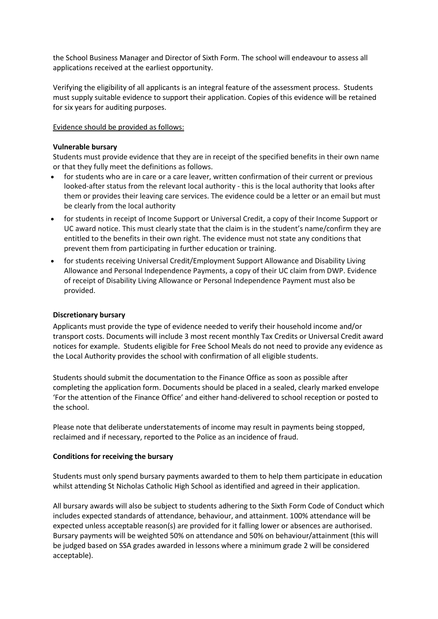the School Business Manager and Director of Sixth Form. The school will endeavour to assess all applications received at the earliest opportunity.

Verifying the eligibility of all applicants is an integral feature of the assessment process. Students must supply suitable evidence to support their application. Copies of this evidence will be retained for six years for auditing purposes.

# Evidence should be provided as follows:

## **Vulnerable bursary**

Students must provide evidence that they are in receipt of the specified benefits in their own name or that they fully meet the definitions as follows.

- for students who are in care or a care leaver, written confirmation of their current or previous looked-after status from the relevant local authority - this is the local authority that looks after them or provides their leaving care services. The evidence could be a letter or an email but must be clearly from the local authority
- for students in receipt of Income Support or Universal Credit, a copy of their Income Support or UC award notice. This must clearly state that the claim is in the student's name/confirm they are entitled to the benefits in their own right. The evidence must not state any conditions that prevent them from participating in further education or training.
- for students receiving Universal Credit/Employment Support Allowance and Disability Living Allowance and Personal Independence Payments, a copy of their UC claim from DWP. Evidence of receipt of Disability Living Allowance or Personal Independence Payment must also be provided.

# **Discretionary bursary**

Applicants must provide the type of evidence needed to verify their household income and/or transport costs. Documents will include 3 most recent monthly Tax Credits or Universal Credit award notices for example. Students eligible for Free School Meals do not need to provide any evidence as the Local Authority provides the school with confirmation of all eligible students.

Students should submit the documentation to the Finance Office as soon as possible after completing the application form. Documents should be placed in a sealed, clearly marked envelope 'For the attention of the Finance Office' and either hand-delivered to school reception or posted to the school.

Please note that deliberate understatements of income may result in payments being stopped, reclaimed and if necessary, reported to the Police as an incidence of fraud.

#### **Conditions for receiving the bursary**

Students must only spend bursary payments awarded to them to help them participate in education whilst attending St Nicholas Catholic High School as identified and agreed in their application.

All bursary awards will also be subject to students adhering to the Sixth Form Code of Conduct which includes expected standards of attendance, behaviour, and attainment. 100% attendance will be expected unless acceptable reason(s) are provided for it falling lower or absences are authorised. Bursary payments will be weighted 50% on attendance and 50% on behaviour/attainment (this will be judged based on SSA grades awarded in lessons where a minimum grade 2 will be considered acceptable).